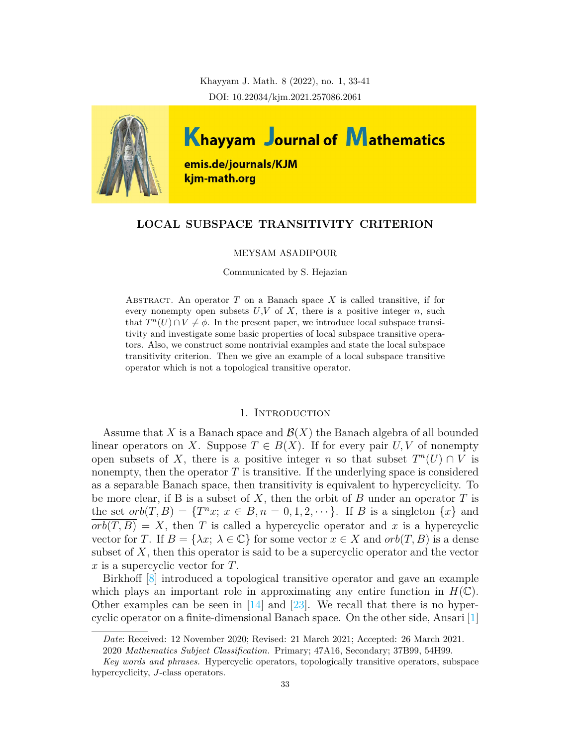Khayyam J. Math. 8 (2022), no. 1, 33-41 DOI: 10.22034/kjm.2021.257086.2061



# **LOCAL SUBSPACE TRANSITIVITY CRITERION**

### MEYSAM ASADIPOUR

#### Communicated by S. Hejazian

ABSTRACT. An operator  $T$  on a Banach space  $X$  is called transitive, if for every nonempty open subsets  $U, V$  of  $X$ , there is a positive integer  $n$ , such that  $T^{n}(U) \cap V \neq \emptyset$ . In the present paper, we introduce local subspace transitivity and investigate some basic properties of local subspace transitive operators. Also, we construct some nontrivial examples and state the local subspace transitivity criterion. Then we give an example of a local subspace transitive operator which is not a topological transitive operator.

## 1. Introduction

Assume that *X* is a Banach space and *B*(*X*) the Banach algebra of all bounded linear operators on *X*. Suppose  $T \in B(X)$ . If for every pair *U*, *V* of nonempty open subsets of *X*, there is a positive integer *n* so that subset  $T<sup>n</sup>(U) \cap V$  is nonempty, then the operator *T* is transitive. If the underlying space is considered as a separable Banach space, then transitivity is equivalent to hypercyclicity. To be more clear, if B is a subset of *X*, then the orbit of *B* under an operator *T* is the set  $orb(T, B) = \{T^n x; x \in B, n = 0, 1, 2, \cdots\}$ . If *B* is a singleton  $\{x\}$  and  $orb(T, B) = X$ , then *T* is called a hypercyclic operator and *x* is a hypercyclic vector for *T*. If  $B = \{\lambda x; \lambda \in \mathbb{C}\}\$ for some vector  $x \in X$  and  $orb(T, B)$  is a dense subset of *X*, then this operator is said to be a supercyclic operator and the vector *x* is a supercyclic vector for *T*.

Birkhoff [\[8\]](#page-7-0) introduced a topological transitive operator and gave an example which plays an important role in approximating any entire function in  $H(\mathbb{C})$ . Other examples can be seen in  $[14]$  and  $[23]$ . We recall that there is no hypercyclic operator on a finite-dimensional Banach space. On the other side, Ansari [\[1\]](#page-7-2)

*Date*: Received: 12 November 2020; Revised: 21 March 2021; Accepted: 26 March 2021.

<sup>2020</sup> *Mathematics Subject Classification.* Primary; 47A16, Secondary; 37B99, 54H99.

*Key words and phrases.* Hypercyclic operators, topologically transitive operators, subspace hypercyclicity, *J*-class operators.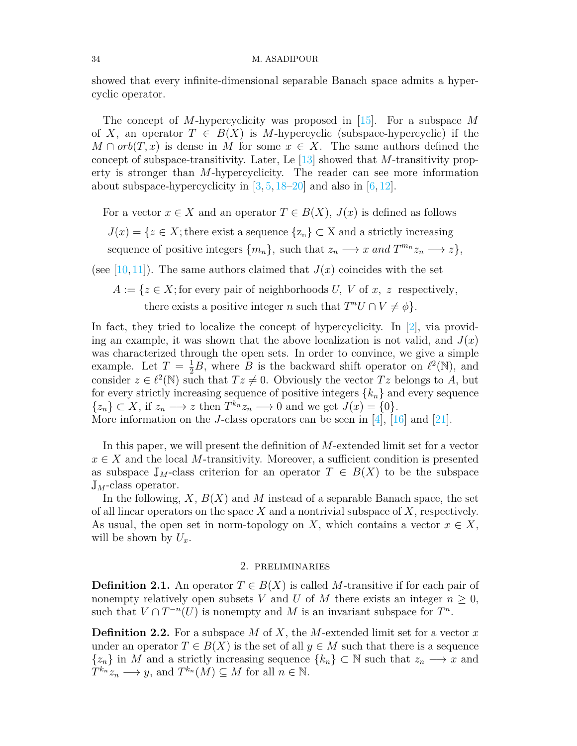showed that every infinite-dimensional separable Banach space admits a hypercyclic operator.

The concept of *M*-hypercyclicity was proposed in [\[15\]](#page-7-3). For a subspace *M* of *X*, an operator  $T \in B(X)$  is *M*-hypercyclic (subspace-hypercyclic) if the  $M \cap orb(T, x)$  is dense in *M* for some  $x \in X$ . The same authors defined the concept of subspace-transitivity. Later, Le[[13\]](#page-7-4) showed that *M*-transitivity property is stronger than *M*-hypercyclicity. The reader can see more information about subspace-hypercyclicity in  $[3, 5, 18-20]$  $[3, 5, 18-20]$  $[3, 5, 18-20]$  $[3, 5, 18-20]$  $[3, 5, 18-20]$  and also in  $[6, 12]$  $[6, 12]$ .

For a vector  $x \in X$  and an operator  $T \in B(X)$ ,  $J(x)$  is defined as follows

 $J(x) = \{z \in X; \text{there exist a sequence } \{z_n\} \subset X \text{ and a strictly increasing }$ 

sequence of positive integers  $\{m_n\}$ , such that  $z_n \longrightarrow x$  and  $T^{m_n}z_n \longrightarrow z\}$ ,

(see[[10,](#page-7-10) [11](#page-7-11)]). The same authors claimed that  $J(x)$  coincides with the set

 $A := \{z \in X;$  for every pair of neighborhoods *U, V* of *x, z* respectively, there exists a positive integer *n* such that  $T^nU \cap V \neq \emptyset$ .

In fact, they tried to localize the concept of hypercyclicity. In  $[2]$ , via providing an example, it was shown that the above localization is not valid, and  $J(x)$ was characterized through the open sets. In order to convince, we give a simple example. Let  $T = \frac{1}{2}B$ , where *B* is the backward shift operator on  $\ell^2(\mathbb{N})$ , and consider  $z \in \ell^2(\mathbb{N})$  such that  $Tz \neq 0$ . Obviously the vector  $Tz$  belongs to *A*, but for every strictly increasing sequence of positive integers  $\{k_n\}$  and every sequence  $\{z_n\} \subset X$ , if  $z_n \longrightarrow z$  then  $T^{k_n}z_n \longrightarrow 0$  and we get  $J(x) = \{0\}$ .

More information on the *J*-class operators can be seen in [[4\]](#page-7-13), [\[16\]](#page-7-14) and [\[21\]](#page-8-2).

In this paper, we will present the definition of *M*-extended limit set for a vector  $x \in X$  and the local *M*-transitivity. Moreover, a sufficient condition is presented as subspace  $\mathbb{J}_M$ -class criterion for an operator  $T \in B(X)$  to be the subspace J*M*-class operator.

In the following, *X*, *B*(*X*) and *M* instead of a separable Banach space, the set of all linear operators on the space *X* and a nontrivial subspace of *X*, respectively. As usual, the open set in norm-topology on *X*, which contains a vector  $x \in X$ , will be shown by  $U_x$ .

# 2. preliminaries

**Definition 2.1.** An operator  $T \in B(X)$  is called *M*-transitive if for each pair of nonempty relatively open subsets *V* and *U* of *M* there exists an integer  $n \geq 0$ , such that  $V \cap T^{-n}(U)$  is nonempty and M is an invariant subspace for  $T^n$ .

**Definition 2.2.** For a subspace *M* of *X*, the *M*-extended limit set for a vector *x* under an operator  $T \in B(X)$  is the set of all  $y \in M$  such that there is a sequence  $\{z_n\}$  in *M* and a strictly increasing sequence  $\{k_n\} \subset \mathbb{N}$  such that  $z_n \longrightarrow x$  and  $T^{k_n}z_n \longrightarrow y$ , and  $T^{k_n}(M) \subseteq M$  for all  $n \in \mathbb{N}$ .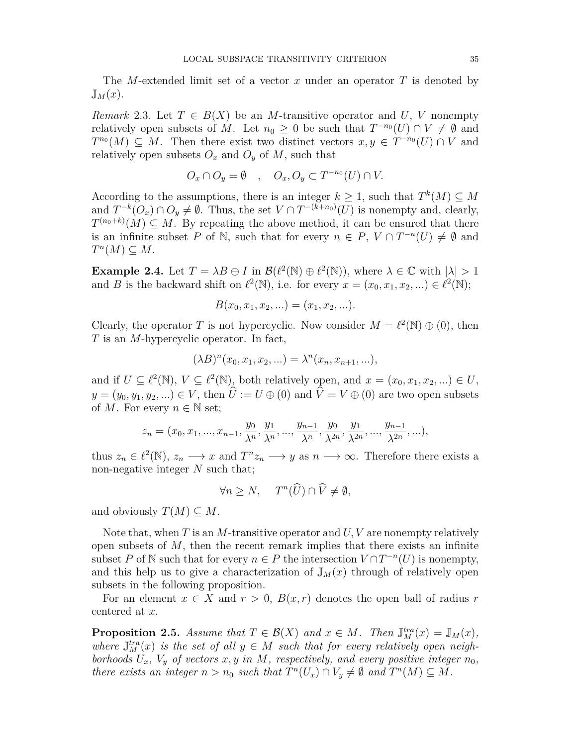The *M*-extended limit set of a vector *x* under an operator *T* is denoted by  $\mathbb{J}_M(x)$ .

*Remark* 2.3. Let  $T \in B(X)$  be an *M*-transitive operator and *U*, *V* nonempty relatively open subsets of *M*. Let  $n_0 \geq 0$  be such that  $T^{-n_0}(U) \cap V \neq \emptyset$  and  $T^{n_0}(M) \subseteq M$ . Then there exist two distinct vectors  $x, y \in T^{-n_0}(U) \cap V$  and relatively open subsets  $O_x$  and  $O_y$  of M, such that

$$
O_x \cap O_y = \emptyset \quad , \quad O_x, O_y \subset T^{-n_0}(U) \cap V.
$$

According to the assumptions, there is an integer  $k \geq 1$ , such that  $T^k(M) \subseteq M$ and  $T^{-k}(O_x) \cap O_y \neq \emptyset$ . Thus, the set  $V \cap T^{-(k+n_0)}(U)$  is nonempty and, clearly,  $T^{(n_0+k)}(M) \subseteq M$ . By repeating the above method, it can be ensured that there is an infinite subset *P* of N, such that for every  $n \in P$ ,  $V \cap T^{-n}(U) \neq \emptyset$  and  $T^n(M) \subseteq M$ .

**Example 2.4.** Let  $T = \lambda B \oplus I$  in  $\mathcal{B}(\ell^2(\mathbb{N}) \oplus \ell^2(\mathbb{N}))$ , where  $\lambda \in \mathbb{C}$  with  $|\lambda| > 1$ and *B* is the backward shift on  $\ell^2(\mathbb{N})$ , i.e. for every  $x = (x_0, x_1, x_2, \ldots) \in \ell^2(\mathbb{N})$ ;

$$
B(x_0, x_1, x_2, \ldots) = (x_1, x_2, \ldots).
$$

Clearly, the operator *T* is not hypercyclic. Now consider  $M = \ell^2(\mathbb{N}) \oplus (0)$ , then *T* is an *M*-hypercyclic operator. In fact,

$$
(\lambda B)^n(x_0, x_1, x_2, \ldots) = \lambda^n(x_n, x_{n+1}, \ldots),
$$

and if  $U \subseteq \ell^2(\mathbb{N})$ ,  $V \subseteq \ell^2(\mathbb{N})$ , both relatively open, and  $x = (x_0, x_1, x_2, \dots) \in U$ ,  $y = (y_0, y_1, y_2, \ldots) \in V$ , then  $\hat{U} := U \oplus (0)$  and  $\hat{V} = V \oplus (0)$  are two open subsets of *M*. For every  $n \in \mathbb{N}$  set;

$$
z_n = (x_0, x_1, ..., x_{n-1}, \frac{y_0}{\lambda^n}, \frac{y_1}{\lambda^n}, ..., \frac{y_{n-1}}{\lambda^n}, \frac{y_0}{\lambda^{2n}}, \frac{y_1}{\lambda^{2n}}, ..., \frac{y_{n-1}}{\lambda^{2n}}, ...),
$$

thus  $z_n \in \ell^2(\mathbb{N}), z_n \longrightarrow x$  and  $T^n z_n \longrightarrow y$  as  $n \longrightarrow \infty$ . Therefore there exists a non-negative integer *N* such that;

$$
\forall n \ge N, \quad T^n(\widehat{U}) \cap \widehat{V} \neq \emptyset,
$$

and obviously  $T(M) \subseteq M$ .

Note that, when *T* is an *M*-transitive operator and *U, V* are nonempty relatively open subsets of *M*, then the recent remark implies that there exists an infinite subset *P* of N such that for every  $n \in P$  the intersection  $V \cap T^{-n}(U)$  is nonempty, and this help us to give a characterization of  $\mathbb{J}_M(x)$  through of relatively open subsets in the following proposition.

For an element  $x \in X$  and  $r > 0$ ,  $B(x, r)$  denotes the open ball of radius *r* centered at *x*.

<span id="page-2-0"></span>**Proposition 2.5.** *Assume that*  $T \in \mathcal{B}(X)$  *and*  $x \in M$ *. Then*  $\mathbb{J}_M^{tra}(x) = \mathbb{J}_M(x)$ *,* where  $J_M^{tra}(x)$  is the set of all  $y \in M$  such that for every relatively open neigh*borhoods*  $U_x$ ,  $V_y$  *of vectors*  $x, y$  *in*  $M$ *, respectively, and every positive integer*  $n_0$ *, there exists an integer*  $n > n_0$  *such that*  $T^n(U_x) \cap V_y \neq \emptyset$  *and*  $T^n(M) \subseteq M$ .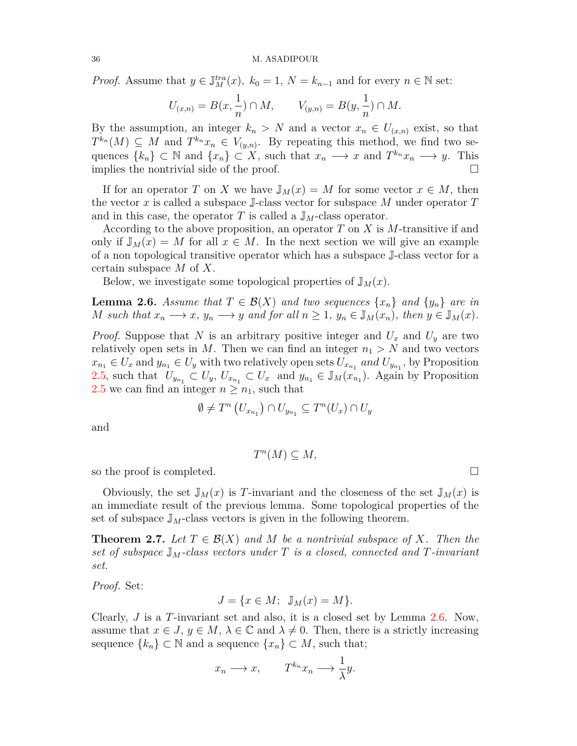*Proof.* Assume that  $y \in \mathbb{J}_M^{tra}(x)$ ,  $k_0 = 1$ ,  $N = k_{n-1}$  and for every  $n \in \mathbb{N}$  set:

$$
U_{(x,n)} = B(x, \frac{1}{n}) \cap M, \qquad V_{(y,n)} = B(y, \frac{1}{n}) \cap M.
$$

By the assumption, an integer  $k_n > N$  and a vector  $x_n \in U_{(x,n)}$  exist, so that  $T^{k_n}(M) \subseteq M$  and  $T^{k_n}x_n \in V_{(y,n)}$ . By repeating this method, we find two sequences  $\{k_n\} \subset \mathbb{N}$  and  $\{x_n\} \subset X$ , such that  $x_n \longrightarrow x$  and  $T^{k_n}x_n \longrightarrow y$ . This implies the nontrivial side of the proof.  $\Box$ 

If for an operator *T* on *X* we have  $\mathbb{J}_M(x) = M$  for some vector  $x \in M$ , then the vector *x* is called a subspace J-class vector for subspace *M* under operator *T* and in this case, the operator  $T$  is called a  $\mathbb{J}_M$ -class operator.

According to the above proposition, an operator *T* on *X* is *M*-transitive if and only if  $\mathbb{J}_M(x) = M$  for all  $x \in M$ . In the next section we will give an example of a non topological transitive operator which has a subspace J-class vector for a certain subspace *M* of *X*.

Below, we investigate some topological properties of  $\mathbb{J}_M(x)$ .

<span id="page-3-0"></span>**Lemma 2.6.** *Assume that*  $T \in \mathcal{B}(X)$  *and two sequences*  $\{x_n\}$  *and*  $\{y_n\}$  *are in* M such that  $x_n \longrightarrow x$ ,  $y_n \longrightarrow y$  and for all  $n \geq 1$ ,  $y_n \in \mathbb{J}_M(x_n)$ , then  $y \in \mathbb{J}_M(x)$ .

*Proof.* Suppose that *N* is an arbitrary positive integer and *U<sup>x</sup>* and *U<sup>y</sup>* are two relatively open sets in  $M$ . Then we can find an integer  $n_1 > N$  and two vectors  $x_{n_1} \in U_x$  and  $y_{n_1} \in U_y$  with two relatively open sets  $U_{x_{n_1}}$  *and*  $U_{y_{n_1}}$ , by Proposition [2.5](#page-2-0), such that  $U_{y_{n_1}} \subset U_y$ ,  $U_{x_{n_1}} \subset U_x$  and  $y_{n_1} \in \mathbb{J}_M(x_{n_1})$ . Again by Proposition [2.5](#page-2-0) we can find an integer  $n \geq n_1$ , such that

$$
\emptyset\neq T^n\left(U_{x_{n_1}}\right)\cap U_{y_{n_1}}\subseteq T^n(U_x)\cap U_y
$$

and

$$
T^n(M) \subseteq M,
$$

so the proof is completed.  $\Box$ 

Obviously, the set  $\mathbb{J}_M(x)$  is T-invariant and the closeness of the set  $\mathbb{J}_M(x)$  is an immediate result of the previous lemma. Some topological properties of the set of subspace  $\mathbb{J}_M$ -class vectors is given in the following theorem.

<span id="page-3-1"></span>**Theorem 2.7.** Let  $T \in \mathcal{B}(X)$  and M be a nontrivial subspace of X. Then the *set of subspace* J*M-class vectors under T is a closed, connected and T-invariant set.*

*Proof.* Set:

$$
J = \{ x \in M; \mathbb{J}_M(x) = M \}.
$$

Clearly, *J* is a *T*-invariant set and also, it is a closed set by Lemma [2.6.](#page-3-0) Now, assume that  $x \in J$ ,  $y \in M$ ,  $\lambda \in \mathbb{C}$  and  $\lambda \neq 0$ . Then, there is a strictly increasing sequence  $\{k_n\} \subset \mathbb{N}$  and a sequence  $\{x_n\} \subset M$ , such that;

$$
x_n \longrightarrow x, \qquad T^{k_n} x_n \longrightarrow \frac{1}{\lambda} y.
$$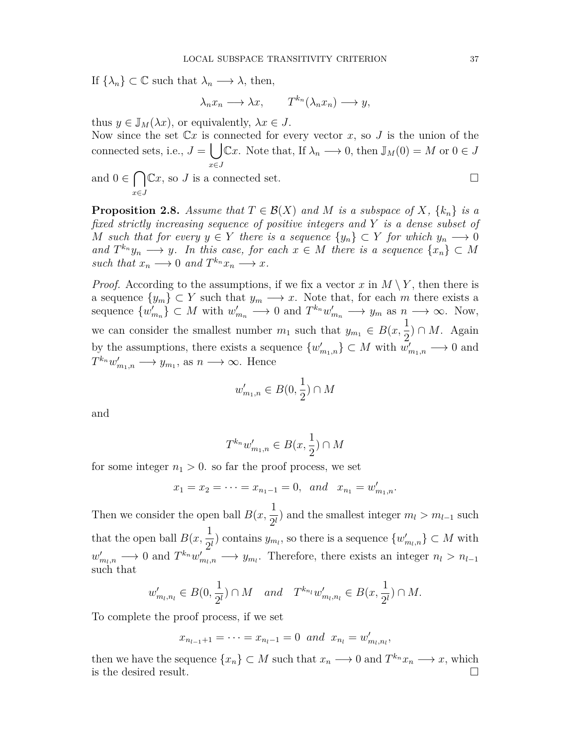If  $\{\lambda_n\} \subset \mathbb{C}$  such that  $\lambda_n \longrightarrow \lambda$ , then,

$$
\lambda_n x_n \longrightarrow \lambda x, \qquad T^{k_n}(\lambda_n x_n) \longrightarrow y,
$$

thus  $y \in \mathbb{J}_M(\lambda x)$ , or equivalently,  $\lambda x \in J$ .

Now since the set  $\mathbb{C}x$  is connected for every vector x, so J is the union of the connected sets, i.e.,  $J = \int \int \mathbb{C}x$ . Note that, If  $\lambda_n \longrightarrow 0$ , then  $\mathbb{J}_M(0) = M$  or  $0 \in J$ *x∈J* and  $0 \in \bigcap \mathbb{C}x$ , so *J* is a connected set. □

*x∈J*

**Proposition 2.8.** *Assume that*  $T \in \mathcal{B}(X)$  *and M is a subspace of X,*  $\{k_n\}$  *is a fixed strictly increasing sequence of positive integers and Y is a dense subset of M* such that for every  $y \in Y$  there is a sequence  $\{y_n\} \subset Y$  for which  $y_n \longrightarrow 0$ *and*  $T^{k_n}y_n \longrightarrow y$ *. In this case, for each*  $x \in M$  *there is a sequence*  $\{x_n\} \subset M$ *such that*  $x_n \longrightarrow 0$  *and*  $T^{k_n}x_n \longrightarrow x$ .

*Proof.* According to the assumptions, if we fix a vector *x* in  $M \setminus Y$ , then there is a sequence  $\{y_m\} \subset Y$  such that  $y_m \longrightarrow x$ . Note that, for each *m* there exists a sequence  $\{w'_{m_n}\}\subset M$  with  $w'_{m_n}\longrightarrow 0$  and  $T^{k_n}w'_{m_n}\longrightarrow y_m$  as  $n\longrightarrow \infty$ . Now, we can consider the smallest number  $m_1$  such that  $y_{m_1} \in B(x, \frac{1}{2})$ 2 ) *∩ M*. Again by the assumptions, there exists a sequence  $\{w'_{m_1,n}\}\subset M$  with  $w'_{m_1,n}\longrightarrow 0$  and  $T^{k_n} w'_{m_1,n} \longrightarrow y_{m_1}$ , as  $n \longrightarrow \infty$ . Hence

$$
w'_{m_1,n}\in B(0,\frac{1}{2})\cap M
$$

and

$$
T^{k_n}w'_{m_1,n} \in B(x, \frac{1}{2}) \cap M
$$

for some integer  $n_1 > 0$ . so far the proof process, we set

$$
x_1 = x_2 = \cdots = x_{n_1-1} = 0
$$
, and  $x_{n_1} = w'_{m_1,n}$ .

Then we consider the open ball  $B(x, \frac{1}{2})$  $\frac{1}{2^l}$  and the smallest integer  $m_l > m_{l-1}$  such that the open ball  $B(x, \frac{1}{2})$  $\frac{1}{2^l}$  contains  $y_{m_l}$ , so there is a sequence  $\{w'_{m_l,n}\}\subset M$  with  $w'_{m_l,n} \longrightarrow 0$  and  $T^{k_n}w'_{m_l,n} \longrightarrow y_{m_l}$ . Therefore, there exists an integer  $n_l > n_{l-1}$ such that

$$
w'_{m_l,n_l} \in B(0, \frac{1}{2^l}) \cap M
$$
 and  $T^{k_{n_l}}w'_{m_l,n_l} \in B(x, \frac{1}{2^l}) \cap M$ .

To complete the proof process, if we set

$$
x_{n_{l-1}+1}=\cdots=x_{n_l-1}=0 \ \ and \ \ x_{n_l}=w'_{m_l,n_l},
$$

then we have the sequence  $\{x_n\} \subset M$  such that  $x_n \longrightarrow 0$  and  $T^{k_n}x_n \longrightarrow x$ , which is the desired result.  $\Box$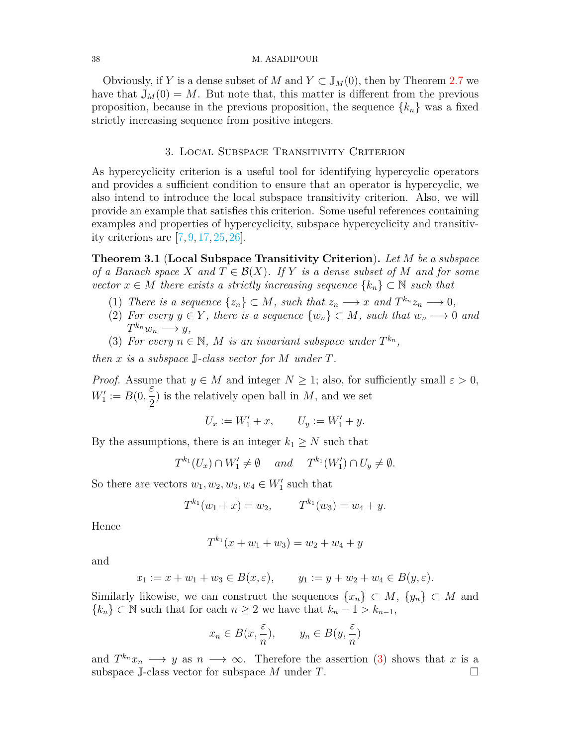#### 38 M. ASADIPOUR

Obviously, if *Y* is a dense subset of *M* and  $Y \subset \mathbb{J}_M(0)$ , then by Theorem [2.7](#page-3-1) we have that  $J_M(0) = M$ . But note that, this matter is different from the previous proposition, because in the previous proposition, the sequence  $\{k_n\}$  was a fixed strictly increasing sequence from positive integers.

# 3. Local Subspace Transitivity Criterion

As hypercyclicity criterion is a useful tool for identifying hypercyclic operators and provides a sufficient condition to ensure that an operator is hypercyclic, we also intend to introduce the local subspace transitivity criterion. Also, we will provide an example that satisfies this criterion. Some useful references containing examples and properties of hypercyclicity, subspace hypercyclicity and transitivity criterions are[[7,](#page-7-15) [9](#page-7-16), [17](#page-7-17), [25,](#page-8-3) [26](#page-8-4)].

**Theorem 3.1** (**Local Subspace Transitivity Criterion**)**.** *Let M be a subspace of a Banach space*  $X$  *and*  $T \in \mathcal{B}(X)$ *. If*  $Y$  *is a dense subset of*  $M$  *and for some vector*  $x \in M$  *there exists a strictly increasing sequence*  $\{k_n\} \subset \mathbb{N}$  *such that* 

- (1) *There is a sequence*  $\{z_n\} \subset M$ *, such that*  $z_n \longrightarrow x$  *and*  $T^{k_n}z_n \longrightarrow 0$ *,*
- <span id="page-5-1"></span>(2) *For every*  $y \in Y$ *, there is a sequence*  $\{w_n\} \subset M$ *, such that*  $w_n \longrightarrow 0$  *and*  $T^{k_n}w_n \longrightarrow y,$
- <span id="page-5-0"></span>(3) For every  $n \in \mathbb{N}$ , M is an invariant subspace under  $T^{k_n}$ ,

*then x is a subspace* J*-class vector for M under T.*

*Proof.* Assume that  $y \in M$  and integer  $N \geq 1$ ; also, for sufficiently small  $\varepsilon > 0$ ,  $W'_{1} := B(0,$ *ε* 2 ) is the relatively open ball in *M*, and we set

$$
U_x := W_1' + x, \qquad U_y := W_1' + y.
$$

By the assumptions, there is an integer  $k_1 \geq N$  such that

$$
T^{k_1}(U_x) \cap W'_1 \neq \emptyset \quad and \quad T^{k_1}(W'_1) \cap U_y \neq \emptyset.
$$

So there are vectors  $w_1, w_2, w_3, w_4 \in W'_1$  such that

$$
T^{k_1}(w_1+x) = w_2, \qquad T^{k_1}(w_3) = w_4 + y.
$$

Hence

$$
T^{k_1}(x + w_1 + w_3) = w_2 + w_4 + y
$$

and

$$
x_1 := x + w_1 + w_3 \in B(x, \varepsilon),
$$
  $y_1 := y + w_2 + w_4 \in B(y, \varepsilon).$ 

Similarly likewise, we can construct the sequences  $\{x_n\} \subset M$ ,  $\{y_n\} \subset M$  and  ${k_n}$  ⊂ N such that for each *n* ≥ 2 we have that  $k_n - 1 > k_{n-1}$ ,

$$
x_n \in B(x, \frac{\varepsilon}{n}), \qquad y_n \in B(y, \frac{\varepsilon}{n})
$$

and  $T^{k_n}x_n \longrightarrow y$  as  $n \longrightarrow \infty$ . Therefore the assertion ([3](#page-5-0)) shows that *x* is a subspace  $\mathbb{J}$ -class vector for subspace *M* under *T*.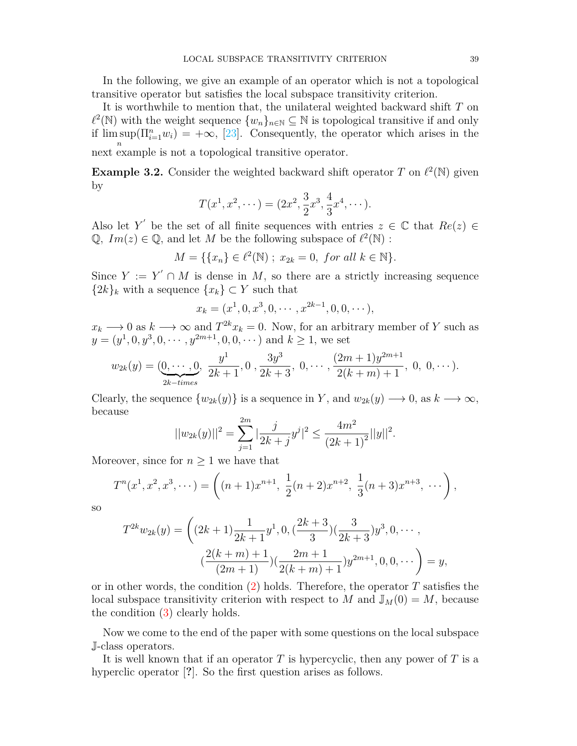In the following, we give an example of an operator which is not a topological transitive operator but satisfies the local subspace transitivity criterion.

It is worthwhile to mention that, the unilateral weighted backward shift *T* on  $\ell^2(\mathbb{N})$  with the weight sequence  $\{w_n\}_{n\in\mathbb{N}}\subseteq\mathbb{N}$  is topological transitive if and only if  $\limsup(\Pi_{i=1}^n w_i) = +\infty$ , [\[23](#page-8-0)]. Consequently, the operator which arises in the *n*

next example is not a topological transitive operator.

**Example 3.2.** Consider the weighted backward shift operator  $T$  on  $\ell^2(\mathbb{N})$  given by

$$
T(x^1, x^2, \dots) = (2x^2, \frac{3}{2}x^3, \frac{4}{3}x^4, \dots).
$$

Also let *Y*<sup>'</sup> be the set of all finite sequences with entries  $z \in \mathbb{C}$  that  $Re(z) \in$  $\mathbb{Q}, \ Im(z) \in \mathbb{Q}, \text{ and let } M \text{ be the following subspace of } \ell^2(\mathbb{N}) :$ 

$$
M = \{ \{x_n\} \in \ell^2(\mathbb{N}) \; ; \; x_{2k} = 0, \; \text{for all } k \in \mathbb{N} \}.
$$

Since  $Y := Y' \cap M$  is dense in M, so there are a strictly increasing sequence  ${2k}_k$  with a sequence  ${x_k}$  ⊂ *Y* such that

$$
x_k = (x^1, 0, x^3, 0, \cdots, x^{2k-1}, 0, 0, \cdots),
$$

 $x_k \rightarrow 0$  as  $k \rightarrow \infty$  and  $T^{2k}x_k = 0$ . Now, for an arbitrary member of *Y* such as  $y = (y^1, 0, y^3, 0, \dots, y^{2m+1}, 0, 0, \dots)$  and  $k \ge 1$ , we set

$$
w_{2k}(y) = \underbrace{(0, \dots, 0)}_{2k-times}, \frac{y^1}{2k+1}, 0, \frac{3y^3}{2k+3}, 0, \dots, \frac{(2m+1)y^{2m+1}}{2(k+m)+1}, 0, 0, \dots).
$$

Clearly, the sequence  $\{w_{2k}(y)\}$  is a sequence in *Y*, and  $w_{2k}(y) \longrightarrow 0$ , as  $k \longrightarrow \infty$ , because

$$
||w_{2k}(y)||^2 = \sum_{j=1}^{2m} |\frac{j}{2k+j}y^j|^2 \le \frac{4m^2}{(2k+1)^2} ||y||^2.
$$

Moreover, since for  $n \geq 1$  we have that

$$
T^{n}(x^{1}, x^{2}, x^{3}, \cdots) = \left((n+1)x^{n+1}, \frac{1}{2}(n+2)x^{n+2}, \frac{1}{3}(n+3)x^{n+3}, \cdots\right),
$$

so

$$
T^{2k}w_{2k}(y) = \left( (2k+1)\frac{1}{2k+1}y^1, 0, \left(\frac{2k+3}{3}\right)\left(\frac{3}{2k+3}\right)y^3, 0, \cdots, \left(\frac{2(k+m)+1}{(2m+1)}\right)\left(\frac{2m+1}{2(k+m)+1}\right)y^{2m+1}, 0, 0, \cdots \right) = y,
$$

or in other words, the condition [\(2\)](#page-5-1) holds. Therefore, the operator *T* satisfies the local subspace transitivity criterion with respect to *M* and  $\mathbb{J}_M(0) = M$ , because the condition [\(3](#page-5-0)) clearly holds.

Now we come to the end of the paper with some questions on the local subspace J-class operators.

It is well known that if an operator *T* is hypercyclic, then any power of *T* is a hyperclic operator [**?**]. So the first question arises as follows.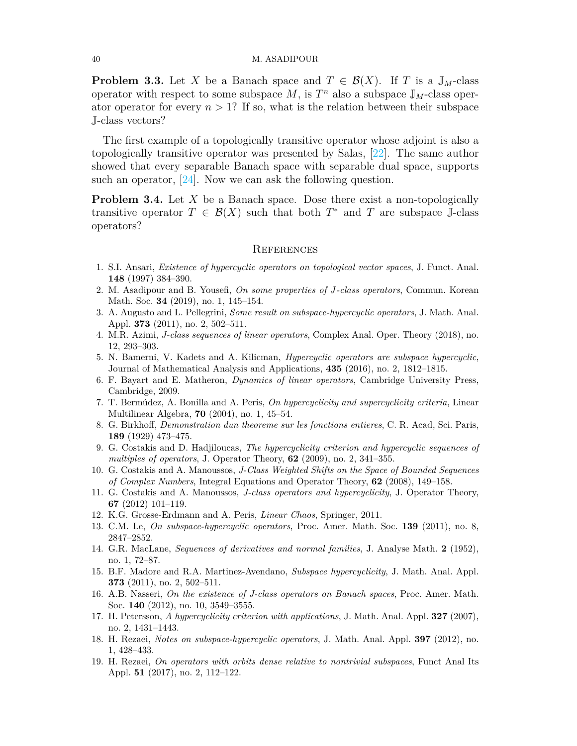**Problem 3.3.** Let *X* be a Banach space and  $T \in \mathcal{B}(X)$ . If *T* is a J<sub>M</sub>-class operator with respect to some subspace  $M$ , is  $T<sup>n</sup>$  also a subspace  $\mathbb{J}_M$ -class operator operator for every  $n > 1$ ? If so, what is the relation between their subspace J-class vectors?

The first example of a topologically transitive operator whose adjoint is also a topologically transitive operator was presented by Salas, [[22](#page-8-5)]. The same author showed that every separable Banach space with separable dual space, supports such an operator, [[24](#page-8-6)]. Now we can ask the following question.

**Problem 3.4.** Let *X* be a Banach space. Dose there exist a non-topologically transitive operator  $T \in \mathcal{B}(X)$  such that both  $T^*$  and  $T$  are subspace J-class operators?

## **REFERENCES**

- <span id="page-7-2"></span>1. S.I. Ansari, *Existence of hypercyclic operators on topological vector spaces*, J. Funct. Anal. **148** (1997) 384–390.
- <span id="page-7-12"></span>2. M. Asadipour and B. Yousefi, *On some properties of J-class operators*, Commun. Korean Math. Soc. **34** (2019), no. 1, 145–154.
- <span id="page-7-5"></span>3. A. Augusto and L. Pellegrini, *Some result on subspace-hypercyclic operators*, J. Math. Anal. Appl. **373** (2011), no. 2, 502–511.
- <span id="page-7-13"></span>4. M.R. Azimi, *J-class sequences of linear operators*, Complex Anal. Oper. Theory (2018), no. 12, 293–303.
- <span id="page-7-6"></span>5. N. Bamerni, V. Kadets and A. Kilicman, *Hypercyclic operators are subspace hypercyclic*, Journal of Mathematical Analysis and Applications, **435** (2016), no. 2, 1812–1815.
- <span id="page-7-8"></span>6. F. Bayart and E. Matheron, *Dynamics of linear operators*, Cambridge University Press, Cambridge, 2009.
- <span id="page-7-15"></span>7. T. Bermúdez, A. Bonilla and A. Peris, *On hypercyclicity and supercyclicity criteria*, Linear Multilinear Algebra, **70** (2004), no. 1, 45–54.
- <span id="page-7-0"></span>8. G. Birkhoff, *Demonstration dun theoreme sur les fonctions entieres*, C. R. Acad, Sci. Paris, **189** (1929) 473–475.
- <span id="page-7-16"></span>9. G. Costakis and D. Hadjiloucas, *The hypercyclicity criterion and hypercyclic sequences of multiples of operators*, J. Operator Theory, **62** (2009), no. 2, 341–355.
- <span id="page-7-10"></span>10. G. Costakis and A. Manoussos, *J-Class Weighted Shifts on the Space of Bounded Sequences of Complex Numbers*, Integral Equations and Operator Theory, **62** (2008), 149–158.
- <span id="page-7-11"></span>11. G. Costakis and A. Manoussos, *J-class operators and hypercyclicity*, J. Operator Theory, **67** (2012) 101–119.
- <span id="page-7-9"></span>12. K.G. Grosse-Erdmann and A. Peris, *Linear Chaos*, Springer, 2011.
- <span id="page-7-4"></span>13. C.M. Le, *On subspace-hypercyclic operators*, Proc. Amer. Math. Soc. **139** (2011), no. 8, 2847–2852.
- <span id="page-7-1"></span>14. G.R. MacLane, *Sequences of derivatives and normal families*, J. Analyse Math. **2** (1952), no. 1, 72–87.
- <span id="page-7-3"></span>15. B.F. Madore and R.A. Martinez-Avendano, *Subspace hypercyclicity*, J. Math. Anal. Appl. **373** (2011), no. 2, 502–511.
- <span id="page-7-14"></span>16. A.B. Nasseri, *On the existence of J-class operators on Banach spaces*, Proc. Amer. Math. Soc. **140** (2012), no. 10, 3549–3555.
- <span id="page-7-17"></span>17. H. Petersson, *A hypercyclicity criterion with applications*, J. Math. Anal. Appl. **327** (2007), no. 2, 1431–1443.
- <span id="page-7-7"></span>18. H. Rezaei, *Notes on subspace-hypercyclic operators*, J. Math. Anal. Appl. **397** (2012), no. 1, 428–433.
- 19. H. Rezaei, *On operators with orbits dense relative to nontrivial subspaces*, Funct Anal Its Appl. **51** (2017), no. 2, 112–122.